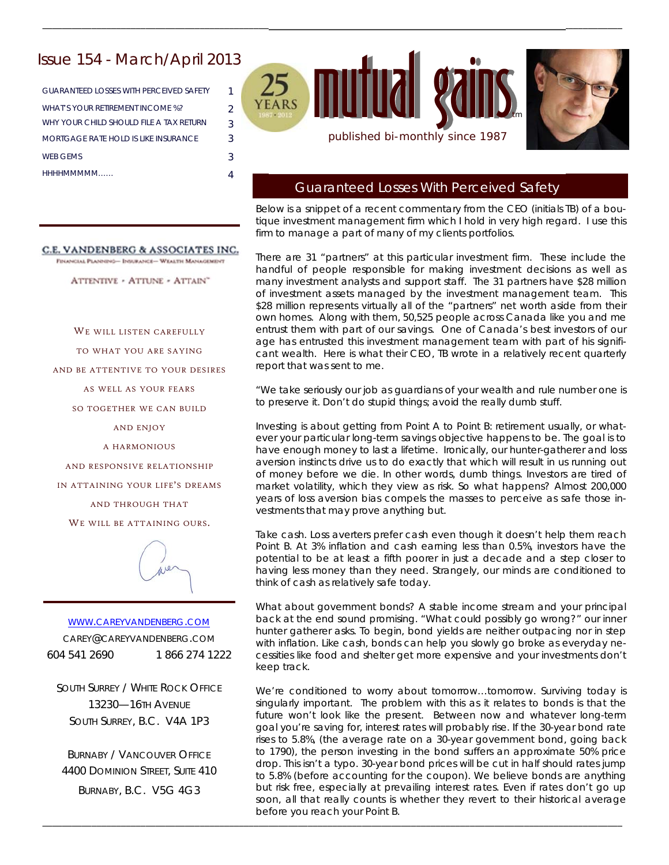# Issue 154 - March/April 2013

GUARANTEED LOSSES WITH PERCEIVED SAFETY 1 WHAT'S YOUR RETIREMENT INCOME %? 2 WHY YOUR CHILD SHOULD FILE A TAX RETURN 3 MORTGAGE RATE HOLD IS LIKE INSURANCE 3 WEB GEMS 3 HHHHMMMMM…… 4

mutual gains. published bi-monthly since 1987

\_\_\_\_\_\_\_\_\_\_\_\_\_\_\_\_\_\_\_\_\_\_\_\_\_\_\_\_\_\_\_\_\_\_\_\_\_\_\_\_\_\_\_\_\_\_\_\_\_\_\_\_\_\_\_\_\_\_\_\_\_\_\_\_\_\_\_\_\_\_\_\_\_\_\_\_\_\_\_\_\_\_\_\_\_\_\_\_\_\_\_\_\_\_\_\_\_\_\_\_\_\_\_\_\_\_\_\_\_\_\_\_\_\_\_\_\_\_



## Guaranteed Losses With Perceived Safety

Below is a snippet of a recent commentary from the CEO (initials TB) of a boutique investment management firm which I hold in very high regard. I use this firm to manage a part of many of my clients portfolios.

There are 31 "partners" at this particular investment firm. These include the handful of people responsible for making investment decisions as well as many investment analysts and support staff. The 31 partners have \$28 million of investment assets managed by the investment management team. This \$28 million represents virtually all of the "partners" net worth aside from their own homes. Along with them, 50,525 people across Canada like you and me entrust them with part of our savings. One of Canada's best investors of our age has entrusted this investment management team with part of his significant wealth. Here is what their CEO, TB wrote in a relatively recent quarterly report that was sent to me.

*"We take seriously our job as guardians of your wealth and rule number one is to preserve it. Don't do stupid things; avoid the really dumb stuff.* 

*Investing is about getting from Point A to Point B: retirement usually, or what*ever your particular long-term savings objective happens to be. The goal is to *have enough money to last a lifetime. Ironically, our hunter-gatherer and loss aversion instincts drive us to do exactly that which will result in us running out of money before we die. In other words, dumb things. Investors are tired of market volatility, which they view as risk. So what happens? Almost 200,000 years of loss aversion bias compels the masses to perceive as safe those investments that may prove anything but.* 

*Take cash. Loss averters prefer cash even though it doesn't help them reach Point B. At 3% inflation and cash earning less than 0.5%, investors have the potential to be at least a fifth poorer in just a decade and a step closer to having less money than they need. Strangely, our minds are conditioned to think of cash as relatively safe today.* 

*What about government bonds? A stable income stream and your principal*  back at the end sound promising. "What could possibly go wrong?" our inner *hunter gatherer asks. To begin, bond yields are neither outpacing nor in step with inflation. Like cash, bonds can help you slowly go broke as everyday necessities like food and shelter get more expensive and your investments don't keep track.* 

*We're conditioned to worry about tomorrow…tomorrow. Surviving today is*  singularly important. The problem with this as it relates to bonds is that the *future won't look like the present. Between now and whatever long-term goal you're saving for, interest rates will probably rise. If the 30-year bond rate rises to 5.8%, (the average rate on a 30-year government bond, going back to 1790), the person investing in the bond suffers an approximate 50% price drop. This isn't a typo. 30-year bond prices will be cut in half should rates jump to 5.8% (before accounting for the coupon). We believe bonds are anything but risk free, especially at prevailing interest rates. Even if rates don't go up soon, all that really counts is whether they revert to their historical average before you reach your Point B.* 

\_\_\_\_\_\_\_\_\_\_\_\_\_\_\_\_\_\_\_\_\_\_\_\_\_\_\_\_\_\_\_\_\_\_\_\_\_\_\_\_\_\_\_\_\_\_\_\_\_\_\_\_\_\_\_\_\_\_\_\_\_\_\_\_\_\_\_\_\_\_\_\_\_\_\_\_\_\_\_\_\_\_\_\_\_\_\_\_\_\_\_\_\_\_\_\_\_\_\_\_\_\_\_\_\_\_\_\_\_\_\_\_\_\_\_\_\_\_

C.E. VANDENBERG & ASSOCIATES INC.

FINANCIAL PLANNING- INSURANCE- WEALTH MANAGEMENT

ATTENTIVE - ATTUNE - ATTAIN"

WE WILL LISTEN CAREFULLY

TO WHAT YOU ARE SAYING

AND BE ATTENTIVE TO YOUR DESIRES

AS WELL AS YOUR FEARS

SO TOGETHER WE CAN BUILD

AND ENJOY

A HARMONIOUS

AND RESPONSIVE RELATIONSHIP

IN ATTAINING YOUR LIFE'S DREAMS

AND THROUGH THAT

WE WILL BE ATTAINING OURS.



WWW.CAREYVANDENBERG.COM CAREY@CAREYVANDENBERG.COM 604 541 2690 1 866 274 1222

SOUTH SURREY / WHITE ROCK OFFICE 13230—16TH AVENUE SOUTH SURREY, B.C. V4A 1P3

BURNABY / VANCOUVER OFFICE 4400 DOMINION STREET, SUITE 410 BURNABY, B.C. V5G 4G3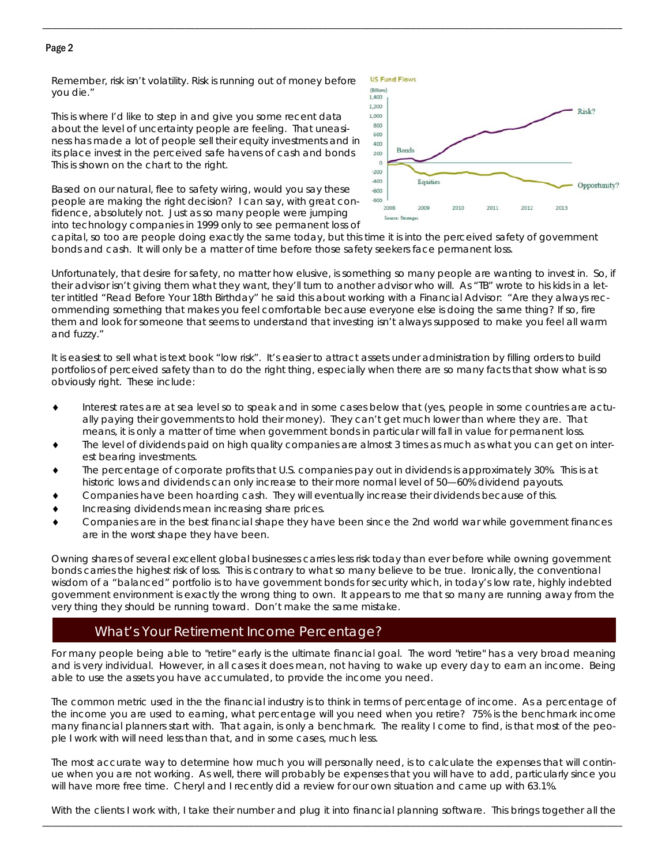### Page 2

*Remember, risk isn't volatility. Risk is running out of money before you die."*

This is where I'd like to step in and give you some recent data about the level of uncertainty people are feeling. That uneasiness has made a lot of people sell their equity investments and in its place invest in the perceived safe havens of cash and bonds This is shown on the chart to the right.

Based on our natural, flee to safety wiring, would you say these people are making the right decision? I can say, with great confidence, absolutely not. Just as so many people were jumping into technology companies in 1999 only to see permanent loss of



capital, so too are people doing exactly the same today, but this time it is into the perceived safety of government bonds and cash. It will only be a matter of time before those safety seekers face permanent loss.

\_\_\_\_\_\_\_\_\_\_\_\_\_\_\_\_\_\_\_\_\_\_\_\_\_\_\_\_\_\_\_\_\_\_\_\_\_\_\_\_\_\_\_\_\_\_\_\_\_\_\_\_\_\_\_\_\_\_\_\_\_\_\_\_\_\_\_\_\_\_\_\_\_\_\_\_\_\_\_\_\_\_\_\_\_\_\_\_\_\_\_\_\_\_\_\_\_\_\_\_\_\_\_\_\_\_\_\_\_\_\_\_\_\_\_\_\_\_

Unfortunately, that desire for safety, no matter how elusive, is something so many people are wanting to invest in. So, if their advisor isn't giving them what they want, they'll turn to another advisor who will. As "TB" wrote to his kids in a letter intitled "Read Before Your 18th Birthday" he said this about working with a Financial Advisor: "*Are they always recommending something that makes you feel comfortable because everyone else is doing the same thing? If so, fire them and look for someone that seems to understand that investing isn't always supposed to make you feel all warm and fuzzy."* 

It is easiest to sell what is text book "low risk". It's easier to attract assets under administration by filling orders to build portfolios of perceived safety than to do the right thing, especially when there are so many facts that show what is so obviously right. These include:

- Interest rates are at sea level so to speak and in some cases below that (yes, people in some countries are actually paying their governments to hold their money). They can't get much lower than where they are. That means, it is only a matter of time when government bonds in particular will fall in value for permanent loss.
- The level of dividends paid on high quality companies are almost 3 times as much as what you can get on interest bearing investments.
- The percentage of corporate profits that U.S. companies pay out in dividends is approximately 30%. This is at historic lows and dividends can only increase to their more normal level of 50—60% dividend payouts.
- Companies have been hoarding cash. They will eventually increase their dividends because of this.
- Increasing dividends mean increasing share prices.
- Companies are in the best financial shape they have been since the 2nd world war while government finances are in the worst shape they have been.

Owning shares of several excellent global businesses carries less risk today than ever before while owning government bonds carries the highest risk of loss. This is contrary to what so many believe to be true. Ironically, the conventional wisdom of a "balanced" portfolio is to have government bonds for security which, in today's low rate, highly indebted government environment is exactly the wrong thing to own. It appears to me that so many are running away from the very thing they should be running toward. Don't make the same mistake.

## What's Your Retirement Income Percentage?

For many people being able to "retire" early is the ultimate financial goal. The word "retire" has a very broad meaning and is very individual. However, in all cases it does mean, not having to wake up every day to earn an income. Being able to use the assets you have accumulated, to provide the income you need.

The common metric used in the the financial industry is to think in terms of percentage of income. As a percentage of the income you are used to earning, what percentage will you need when you retire? 75% is the benchmark income many financial planners start with. That again, is only a benchmark. The reality I come to find, is that most of the people I work with will need less than that, and in some cases, much less.

The most accurate way to determine how much you will personally need, is to calculate the expenses that will continue when you are not working. As well, there will probably be expenses that you will have to add, particularly since you will have more free time. Cheryl and I recently did a review for our own situation and came up with 63.1%.

\_\_\_\_\_\_\_\_\_\_\_\_\_\_\_\_\_\_\_\_\_\_\_\_\_\_\_\_\_\_\_\_\_\_\_\_\_\_\_\_\_\_\_\_\_\_\_\_\_\_\_\_\_\_\_\_\_\_\_\_\_\_\_\_\_\_\_\_\_\_\_\_\_\_\_\_\_\_\_\_\_\_\_\_\_\_\_\_\_\_\_\_\_\_\_\_\_\_\_\_\_\_\_\_\_\_\_\_\_\_\_\_\_\_\_\_\_\_ With the clients I work with, I take their number and plug it into financial planning software. This brings together all the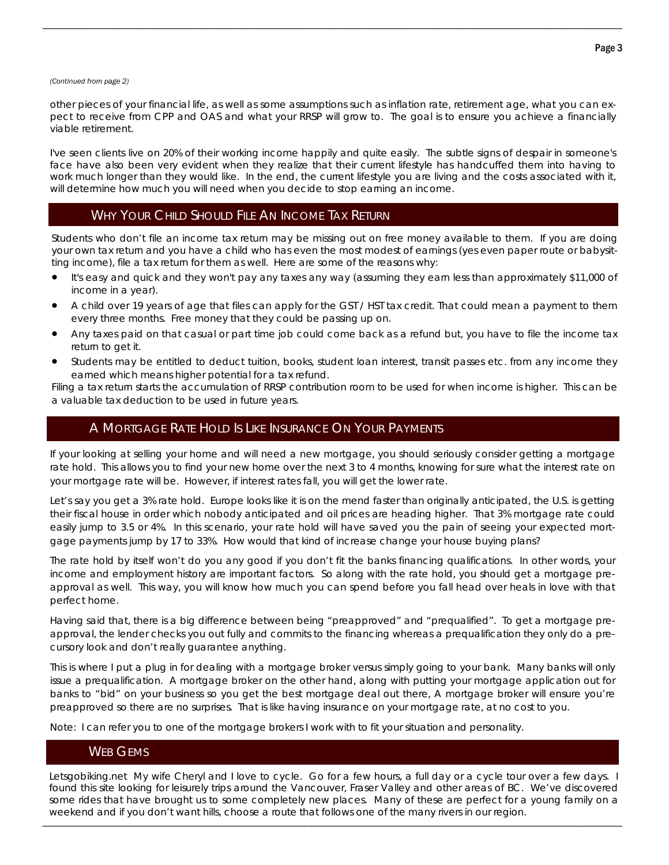#### *(Continued from page 2)*

other pieces of your financial life, as well as some assumptions such as inflation rate, retirement age, what you can expect to receive from CPP and OAS and what your RRSP will grow to. The goal is to ensure you achieve a financially viable retirement.

\_\_\_\_\_\_\_\_\_\_\_\_\_\_\_\_\_\_\_\_\_\_\_\_\_\_\_\_\_\_\_\_\_\_\_\_\_\_\_\_\_\_\_\_\_\_\_\_\_\_\_\_\_\_\_\_\_\_\_\_\_\_\_\_\_\_\_\_\_\_\_\_\_\_\_\_\_\_\_\_\_\_\_\_\_\_\_\_\_\_\_\_\_\_\_\_\_\_\_\_\_\_\_\_\_\_\_\_\_\_\_\_\_\_\_\_\_\_

I've seen clients live on 20% of their working income happily and quite easily. The subtle signs of despair in someone's face have also been very evident when they realize that their current lifestyle has handcuffed them into having to work much longer than they would like. In the end, the current lifestyle you are living and the costs associated with it, will determine how much you will need when you decide to stop earning an income.

## WHY YOUR CHILD SHOULD FILE AN INCOME TAX RETURN

Students who don't file an income tax return may be missing out on free money available to them. If you are doing your own tax return and you have a child who has even the most modest of earnings (yes even paper route or babysitting income), file a tax return for them as well. Here are some of the reasons why:

- It's easy and quick and they won't pay any taxes any way (assuming they earn less than approximately \$11,000 of income in a year).
- A child over 19 years of age that files can apply for the GST / HST tax credit. That could mean a payment to them every three months. Free money that they could be passing up on.
- Any taxes paid on that casual or part time job could come back as a refund but, you have to file the income tax return to get it.
- Students may be entitled to deduct tuition, books, student loan interest, transit passes etc. from any income they earned which means higher potential for a tax refund.

Filing a tax return starts the accumulation of RRSP contribution room to be used for when income is higher. This can be a valuable tax deduction to be used in future years.

## A MORTGAGE RATE HOLD IS LIKE INSURANCE ON YOUR PAYMENTS

If your looking at selling your home and will need a new mortgage, you should seriously consider getting a mortgage rate hold. This allows you to find your new home over the next 3 to 4 months, knowing for sure what the interest rate on your mortgage rate will be. However, if interest rates fall, you will get the lower rate.

Let's say you get a 3% rate hold. Europe looks like it is on the mend faster than originally anticipated, the U.S. is getting their fiscal house in order which nobody anticipated and oil prices are heading higher. That 3% mortgage rate could easily jump to 3.5 or 4%. In this scenario, your rate hold will have saved you the pain of seeing your expected mortgage payments jump by 17 to 33%. How would that kind of increase change your house buying plans?

The rate hold by itself won't do you any good if you don't fit the banks financing qualifications. In other words, your income and employment history are important factors. So along with the rate hold, you should get a mortgage preapproval as well. This way, you will know how much you can spend before you fall head over heals in love with that perfect home.

Having said that, there is a big difference between being "preapproved" and "prequalified". To get a mortgage preapproval, the lender checks you out fully and commits to the financing whereas a prequalification they only do a precursory look and don't really guarantee anything.

This is where I put a plug in for dealing with a mortgage broker versus simply going to your bank. Many banks will only issue a prequalification. A mortgage broker on the other hand, along with putting your mortgage application out for banks to "bid" on your business so you get the best mortgage deal out there, A mortgage broker will ensure you're preapproved so there are no surprises. That is like having insurance on your mortgage rate, at no cost to you.

Note: I can refer you to one of the mortgage brokers I work with to fit your situation and personality.

### WEB GEMS

\_\_\_\_\_\_\_\_\_\_\_\_\_\_\_\_\_\_\_\_\_\_\_\_\_\_\_\_\_\_\_\_\_\_\_\_\_\_\_\_\_\_\_\_\_\_\_\_\_\_\_\_\_\_\_\_\_\_\_\_\_\_\_\_\_\_\_\_\_\_\_\_\_\_\_\_\_\_\_\_\_\_\_\_\_\_\_\_\_\_\_\_\_\_\_\_\_\_\_\_\_\_\_\_\_\_\_\_\_\_\_\_\_\_\_\_\_\_ Letsgobiking.net My wife Cheryl and I love to cycle. Go for a few hours, a full day or a cycle tour over a few days. I found this site looking for leisurely trips around the Vancouver, Fraser Valley and other areas of BC. We've discovered some rides that have brought us to some completely new places. Many of these are perfect for a young family on a weekend and if you don't want hills, choose a route that follows one of the many rivers in our region.